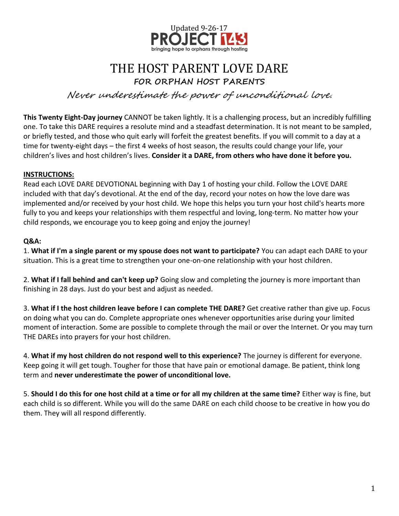

### THE HOST PARENT LOVE DARE **FOR ORPHAN HOST PARENTS**

Never underestimate the power of unconditional love.

**This Twenty Eight-Day journey** CANNOT be taken lightly. It is a challenging process, but an incredibly fulfilling one. To take this DARE requires a resolute mind and a steadfast determination. It is not meant to be sampled, or briefly tested, and those who quit early will forfeit the greatest benefits. If you will commit to a day at a time for twenty-eight days – the first 4 weeks of host season, the results could change your life, your children's lives and host children's lives. **Consider it a DARE, from others who have done it before you.**

### **INSTRUCTIONS:**

Read each LOVE DARE DEVOTIONAL beginning with Day 1 of hosting your child. Follow the LOVE DARE included with that day's devotional. At the end of the day, record your notes on how the love dare was implemented and/or received by your host child. We hope this helps you turn your host child's hearts more fully to you and keeps your relationships with them respectful and loving, long-term. No matter how your child responds, we encourage you to keep going and enjoy the journey!

### **Q&A:**

1. **What if I'm a single parent or my spouse does not want to participate?** You can adapt each DARE to your situation. This is a great time to strengthen your one-on-one relationship with your host children.

2. **What if I fall behind and can't keep up?** Going slow and completing the journey is more important than finishing in 28 days. Just do your best and adjust as needed.

3. **What if I the host children leave before I can complete THE DARE?** Get creative rather than give up. Focus on doing what you can do. Complete appropriate ones whenever opportunities arise during your limited moment of interaction. Some are possible to complete through the mail or over the Internet. Or you may turn THE DAREs into prayers for your host children.

4. **What if my host children do not respond well to this experience?** The journey is different for everyone. Keep going it will get tough. Tougher for those that have pain or emotional damage. Be patient, think long term and **never underestimate the power of unconditional love.**

5. **Should I do this for one host child at a time or for all my children at the same time?** Either way is fine, but each child is so different. While you will do the same DARE on each child choose to be creative in how you do them. They will all respond differently.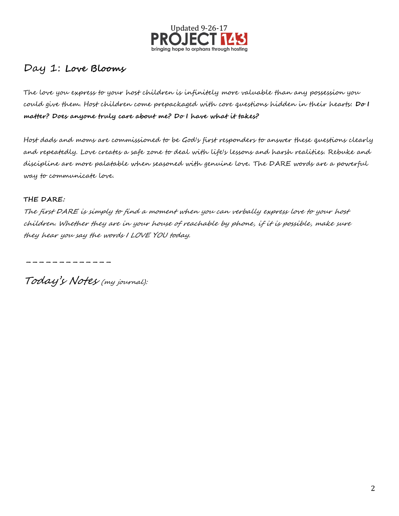

### Day 1: **Love Blooms**

The love you express to your host children is infinitely more valuable than any possession you could give them. Host children come prepackaged with core questions hidden in their hearts: **Do I matter? Does anyone truly care about me? Do I have what it takes?**

Host dads and moms are commissioned to be God's first responders to answer these questions clearly and repeatedly. Love creates a safe zone to deal with life's lessons and harsh realities. Rebuke and discipline are more palatable when seasoned with genuine love. The DARE words are a powerful way to communicate love.

#### **THE DARE:**

The first DARE is simply to find a moment when you can verbally express love to your host children. Whether they are in your house of reachable by phone, if it is possible, make sure they hear you say the words I LOVE YOU today.

-------------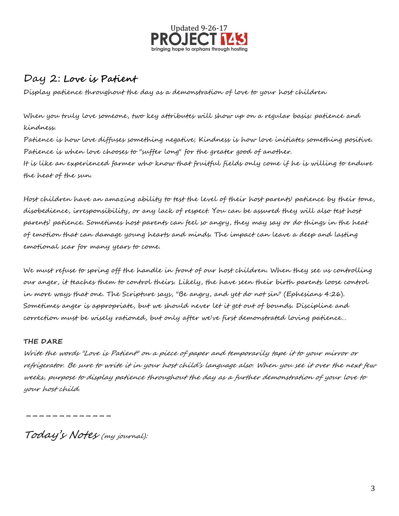

### Day 2: **Love is Patient**

Display patience throughout the day as a demonstration of love to your host children

When you truly love someone, two key attributes will show up on a regular basis: patience and kindness.

Patience is how love diffuses something negative; Kindness is how love initiates something positive. Patience is when love chooses to "suffer long" for the greater good of another. It is like an experienced farmer who know that fruitful fields only come if he is willing to endure the heat of the sun.

Host children have an amazing ability to test the level of their host parents' patience by their tone, disobedience, irresponsibility, or any lack of respect. You can be assured they will also test host parents' patience. Sometimes host parents can feel so angry, they may say or do things in the heat of emotion that can damage young hearts and minds. The impact can leave a deep and lasting emotional scar for many years to come.

We must refuse to spring off the handle in front of our host children. When they see us controlling our anger, it teaches them to control theirs. Likely, the have seen their birth parents loose control in more ways that one. The Scripture says, "Be angry, and yet do not sin" (Ephesians 4:26). Sometimes anger is appropriate, but we should never let it get out of bounds. Discipline and correction must be wisely rationed, but only after we've first demonstrated loving patience…

### **THE DARE**

Write the words "Love is Patient" on a piece of paper and temporarily tape it to your mirror or refrigerator. Be sure to write it in your host child's language also. When you see it over the next few weeks, purpose to display patience throughout the day as a further demonstration of your love to your host child.

-----------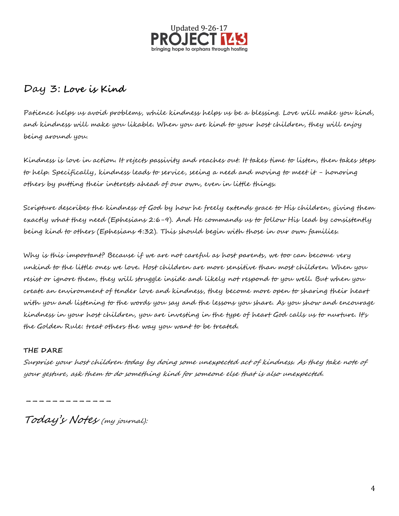

### Day 3: **Love is Kind**

Patience helps us avoid problems, while kindness helps us be a blessing. Love will make you kind, and kindness will make you likable. When you are kind to your host children, they will enjoy being around you.

Kindness is love in action. It rejects passivity and reaches out. It takes time to listen, then takes steps to help. Specifically, kindness leads to service, seeing a need and moving to meet it - honoring others by putting their interests ahead of our own, even in little things.

Scripture describes the kindness of God by how he freely extends grace to His children, giving them exactly what they need (Ephesians 2:6-9). And He commands us to follow His lead by consistently being kind to others (Ephesians 4:32). This should begin with those in our own families.

Why is this important? Because if we are not careful as host parents, we too can become very unkind to the little ones we love. Host children are more sensitive than most children. When you resist or ignore them, they will struggle inside and likely not respond to you well. But when you create an environment of tender love and kindness, they become more open to sharing their heart with you and listening to the words you say and the lessons you share. As you show and encourage kindness in your host children, you are investing in the type of heart God calls us to nurture. It's the Golden Rule: treat others the way you want to be treated.

### **THE DARE**

Surprise your host children today by doing some unexpected act of kindness. As they take note of your gesture, ask them to do something kind for someone else that is also unexpected.

-------------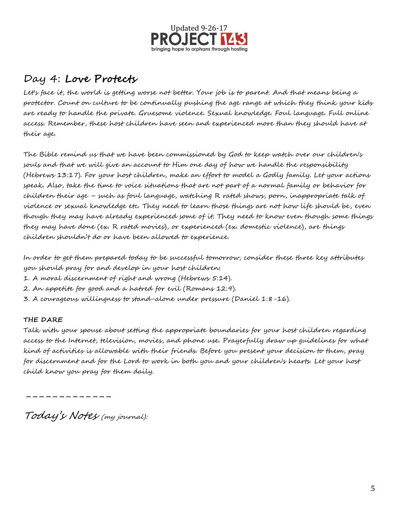

# Day 4: **Love Protects**

Let's face it, the world is getting worse not better. Your job is to parent. And that means being a protector. Count on culture to be continually pushing the age range at which they think your kids are ready to handle the private. Gruesome violence. Sexual knowledge. Foul language. Full online access. Remember, these host children have seen and experienced more than they should have at their age.

The Bible remind us that we have been commissioned by God to keep watch over our children's souls and that we will give an account to Him one day of how we handle the responsibility (Hebrews 13:17). For your host children, make an effort to model a Godly family. Let your actions speak. Also, take the time to voice situations that are not part of a normal family or behavior for children their age – such as foul language, watching R rated shows, porn, inappropriate talk of violence or sexual knowledge etc. They need to learn those things are not how life should be, even though they may have already experienced some of it. They need to know even though some things they may have done (ex. R rated movies), or experienced (ex. domestic violence), are things children shouldn't do or have been allowed to experience.

In order to get them prepared today to be successful tomorrow, consider these three key attributes you should pray for and develop in your host children:

- 1. A moral discernment of right and wrong (Hebrews 5:14).
- 2. An appetite for good and a hatred for evil (Romans 12:9).
- 3. A courageous willingness to stand-alone under pressure (Daniel 1:8-16).

### **THE DARE**

Talk with your spouse about setting the appropriate boundaries for your host children regarding access to the Internet, television, movies, and phone use. Prayerfully draw up guidelines for what kind of activities is allowable with their friends. Before you present your decision to them, pray for discernment and for the Lord to work in both you and your children's hearts. Let your host child know you pray for them daily.

-------------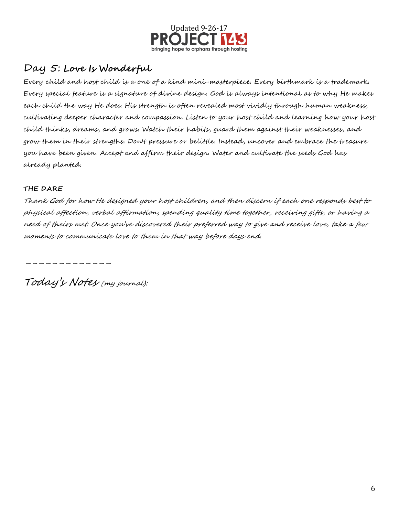

### Day 5: **Love Is Wonderful**

Every child and host child is a one of a kind mini-masterpiece. Every birthmark is a trademark. Every special feature is a signature of divine design. God is always intentional as to why He makes each child the way He does. His strength is often revealed most vividly through human weakness, cultivating deeper character and compassion. Listen to your host child and learning how your host child thinks, dreams, and grows. Watch their habits, guard them against their weaknesses, and grow them in their strengths. Don't pressure or belittle. Instead, uncover and embrace the treasure you have been given. Accept and affirm their design. Water and cultivate the seeds God has already planted.

### **THE DARE**

Thank God for how He designed your host children, and then discern if each one responds best to physical affection, verbal affirmation, spending quality time together, receiving gifts, or having a need of theirs met. Once you've discovered their preferred way to give and receive love, take a few moments to communicate love to them in that way before days end.

-----------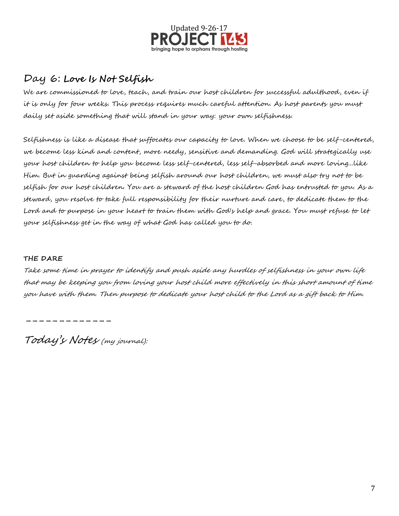

### Day 6: **Love Is Not Selfish**

We are commissioned to love, teach, and train our host children for successful adulthood, even if it is only for four weeks. This process requires much careful attention. As host parents you must daily set aside something that will stand in your way: your own selfishness.

Selfishness is like a disease that suffocates our capacity to love. When we choose to be self-centered, we become less kind and content, more needy, sensitive and demanding. God will strategically use your host children to help you become less self-centered, less self-absorbed and more loving...like Him. But in guarding against being selfish around our host children, we must also try not to be selfish for our host children. You are a steward of the host children God has entrusted to you. As a steward, you resolve to take full responsibility for their nurture and care, to dedicate them to the Lord and to purpose in your heart to train them with God's help and grace. You must refuse to let your selfishness get in the way of what God has called you to do.

### **THE DARE**

Take some time in prayer to identify and push aside any hurdles of selfishness in your own life that may be keeping you from loving your host child more effectively in this short amount of time you have with them. Then purpose to dedicate your host child to the Lord as a gift back to Him.

-------------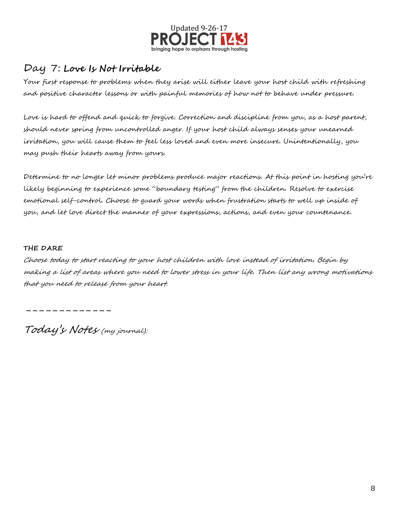

### Day 7: **Love Is Not Irritable**

Your first response to problems when they arise will either leave your host child with refreshing and positive character lessons or with painful memories of how not to behave under pressure.

Love is hard to offend and quick to forgive. Correction and discipline from you, as a host parent, should never spring from uncontrolled anger. If your host child always senses your unearned irritation, you will cause them to feel less loved and even more insecure. Unintentionally, you may push their hearts away from yours.

Determine to no longer let minor problems produce major reactions. At this point in hosting you're likely beginning to experience some "boundary testing" from the children. Resolve to exercise emotional self-control. Choose to guard your words when frustration starts to well up inside of you, and let love direct the manner of your expressions, actions, and even your countenance.

#### **THE DARE**

Choose today to start reacting to your host children with love instead of irritation. Begin by making a list of areas where you need to lower stress in your life. Then list any wrong motivations that you need to release from your heart.

-----------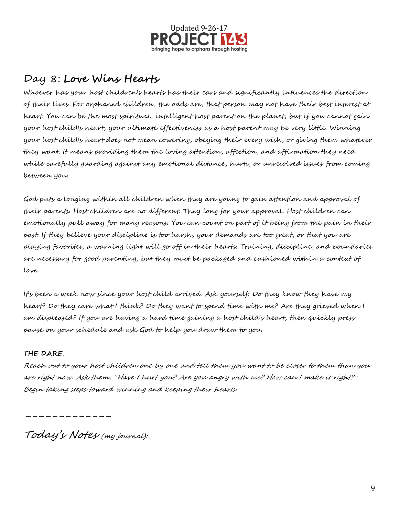

## Day 8: **Love Wins Hearts**

Whoever has your host children's hearts has their ears and significantly influences the direction of their lives. For orphaned children, the odds are, that person may not have their best interest at heart. You can be the most spiritual, intelligent host parent on the planet, but if you cannot gain your host child's heart, your ultimate effectiveness as a host parent may be very little. Winning your host child's heart does not mean cowering, obeying their every wish, or giving them whatever they want. It means providing them the loving attention, affection, and affirmation they need while carefully guarding against any emotional distance, hurts, or unresolved issues from coming between you.

God puts a longing within all children when they are young to gain attention and approval of their parents. Host children are no different. They long for your approval. Host children can emotionally pull away for many reasons. You can count on part of it being from the pain in their past. If they believe your discipline is too harsh, your demands are too great, or that you are playing favorites, a warning light will go off in their hearts. Training, discipline, and boundaries are necessary for good parenting, but they must be packaged and cushioned within a context of love.

It's been a week now since your host child arrived. Ask yourself: Do they know they have my heart? Do they care what I think? Do they want to spend time with me? Are they grieved when I am displeased? If you are having a hard time gaining a host child's heart, then quickly press pause on your schedule and ask God to help you draw them to you.

### **THE DARE**.

Reach out to your host children one by one and tell them you want to be closer to them than you are right now. Ask them, "Have I hurt you? Are you angry with me? How can I make it right?" Begin taking steps toward winning and keeping their hearts.

-----------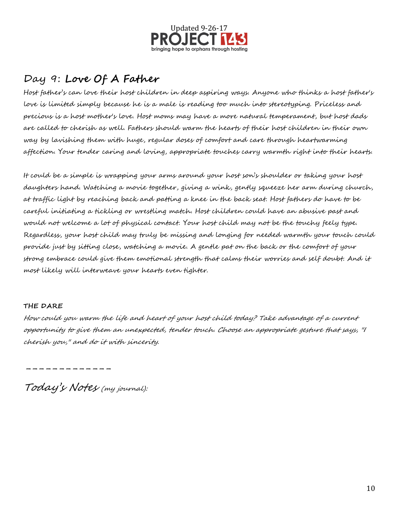

## Day 9: **Love Of A Father**

Host father's can love their host children in deep aspiring ways. Anyone who thinks a host father's love is limited simply because he is a male is reading too much into stereotyping. Priceless and precious is a host mother's love. Host moms may have a more natural temperament, but host dads are called to cherish as well. Fathers should warm the hearts of their host children in their own way by lavishing them with huge, regular doses of comfort and care through heartwarming affection. Your tender caring and loving, appropriate touches carry warmth right into their hearts.

It could be a simple is wrapping your arms around your host son's shoulder or taking your host daughters hand. Watching a movie together, giving a wink, gently squeeze her arm during church, at traffic light by reaching back and patting a knee in the back seat. Host fathers do have to be careful initiating a tickling or wrestling match. Host children could have an abusive past and would not welcome a lot of physical contact. Your host child may not be the touchy feely type. Regardless, your host child may truly be missing and longing for needed warmth your touch could provide just by sitting close, watching a movie. A gentle pat on the back or the comfort of your strong embrace could give them emotional strength that calms their worries and self doubt. And it most likely will interweave your hearts even tighter.

### **THE DARE**

How could you warm the life and heart of your host child today? Take advantage of a current opportunity to give them an unexpected, tender touch. Choose an appropriate gesture that says, "I cherish you," and do it with sincerity.

-----------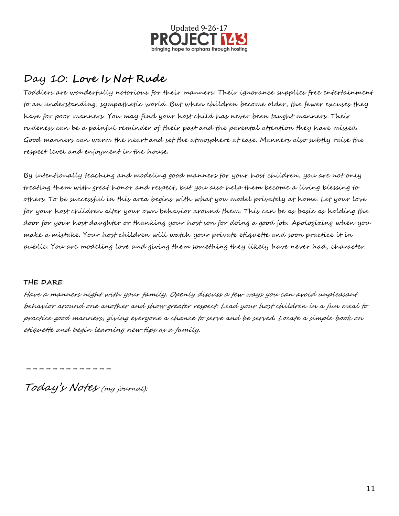

### Day 10: **Love Is Not Rude**

Toddlers are wonderfully notorious for their manners. Their ignorance supplies free entertainment to an understanding, sympathetic world. But when children become older, the fewer excuses they have for poor manners. You may find your host child has never been taught manners. Their rudeness can be a painful reminder of their past and the parental attention they have missed. Good manners can warm the heart and set the atmosphere at ease. Manners also subtly raise the respect level and enjoyment in the house.

By intentionally teaching and modeling good manners for your host children, you are not only treating them with great honor and respect, but you also help them become a living blessing to others. To be successful in this area begins with what you model privately at home. Let your love for your host children alter your own behavior around them. This can be as basic as holding the door for your host daughter or thanking your host son for doing a good job. Apologizing when you make a mistake. Your host children will watch your private etiquette and soon practice it in public. You are modeling love and giving them something they likely have never had, character.

#### **THE DARE**

Have a manners night with your family. Openly discuss a few ways you can avoid unpleasant behavior around one another and show greater respect. Lead your host children in a fun meal to practice good manners, giving everyone a chance to serve and be served. Locate a simple book on etiquette and begin learning new tips as a family.

-----------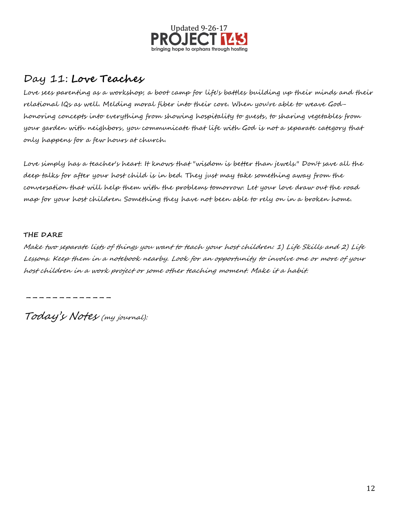

## Day 11: **Love Teaches**

Love sees parenting as a workshop; a boot camp for life's battles building up their minds and their relational IQs as well. Melding moral fiber into their core. When you're able to weave Godhonoring concepts into everything from showing hospitality to guests, to sharing vegetables from your garden with neighbors, you communicate that life with God is not a separate category that only happens for a few hours at church.

Love simply has a teacher's heart. It knows that "wisdom is better than jewels." Don't save all the deep talks for after your host child is in bed. They just may take something away from the conversation that will help them with the problems tomorrow. Let your love draw out the road map for your host children. Something they have not been able to rely on in a broken home.

#### **THE DARE**

Make two separate lists of things you want to teach your host children: 1) Life Skills and 2) Life Lessons. Keep them in a notebook nearby. Look for an opportunity to involve one or more of your host children in a work project or some other teaching moment. Make it a habit.

-----------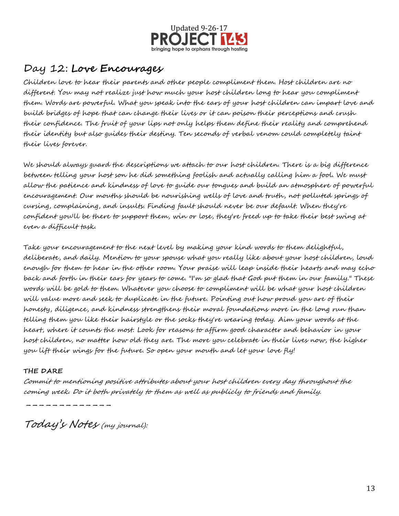

### Day 12: **Love Encourages**

Children love to hear their parents and other people compliment them. Host children are no different. You may not realize just how much your host children long to hear you compliment them. Words are powerful. What you speak into the ears of your host children can impart love and build bridges of hope that can change their lives or it can poison their perceptions and crush their confidence. The fruit of your lips not only helps them define their reality and comprehend their identity but also guides their destiny. Ten seconds of verbal venom could completely taint their lives forever.

We should always guard the descriptions we attach to our host children. There is a big difference between telling your host son he did something foolish and actually calling him a fool. We must allow the patience and kindness of love to guide our tongues and build an atmosphere of powerful encouragement. Our mouths should be nourishing wells of love and truth, not polluted springs of cursing, complaining, and insults. Finding fault should never be our default. When they're confident you'll be there to support them, win or lose, they're freed up to take their best swing at even a difficult task.

Take your encouragement to the next level by making your kind words to them delightful, deliberate, and daily. Mention to your spouse what you really like about your host children, loud enough for them to hear in the other room. Your praise will leap inside their hearts and may echo back and forth in their ears for years to come. "I'm so glad that God put them in our family." These words will be gold to them. Whatever you choose to compliment will be what your host children will value more and seek to duplicate in the future. Pointing out how proud you are of their honesty, diligence, and kindness strengthens their moral foundations more in the long run than telling them you like their hairstyle or the socks they're wearing today. Aim your words at the heart, where it counts the most. Look for reasons to affirm good character and behavior in your host children, no matter how old they are. The more you celebrate in their lives now, the higher you lift their wings for the future. So open your mouth and let your love fly!

### **THE DARE**

Commit to mentioning positive attributes about your host children every day throughout the coming week. Do it both privately to them as well as publicly to friends and family.

Today's Notes (my journal):

-----------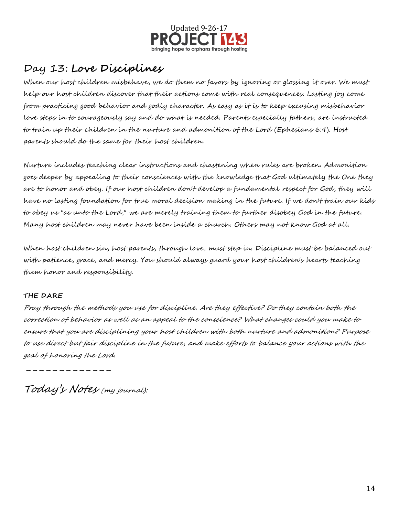

## Day 13: **Love Disciplines**

When our host children misbehave, we do them no favors by ignoring or glossing it over. We must help our host children discover that their actions come with real consequences. Lasting joy come from practicing good behavior and godly character. As easy as it is to keep excusing misbehavior love steps in to courageously say and do what is needed. Parents especially fathers, are instructed to train up their children in the nurture and admonition of the Lord (Ephesians 6:4). Host parents should do the same for their host children.

Nurture includes teaching clear instructions and chastening when rules are broken. Admonition goes deeper by appealing to their consciences with the knowledge that God ultimately the One they are to honor and obey. If our host children don't develop a fundamental respect for God, they will have no lasting foundation for true moral decision making in the future. If we don't train our kids to obey us "as unto the Lord," we are merely training them to further disobey God in the future. Many host children may never have been inside a church. Others may not know God at all.

When host children sin, host parents, through love, must step in. Discipline must be balanced out with patience, grace, and mercy. You should always guard your host children's hearts teaching them honor and responsibility.

### **THE DARE**

Pray through the methods you use for discipline. Are they effective? Do they contain both the correction of behavior as well as an appeal to the conscience? What changes could you make to ensure that you are disciplining your host children with both nurture and admonition? Purpose to use direct but fair discipline in the future, and make efforts to balance your actions with the goal of honoring the Lord.

-----------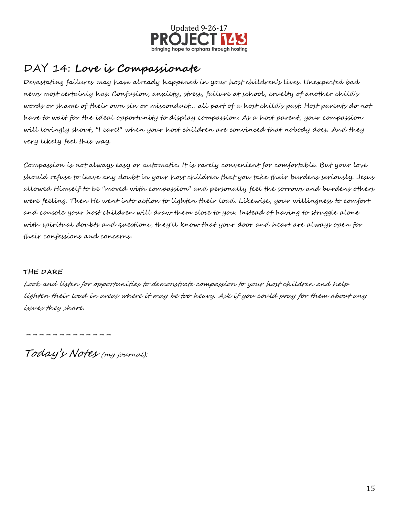

## DAY 14: **Love is Compassionate**

Devastating failures may have already happened in your host children's lives. Unexpected bad news most certainly has. Confusion, anxiety, stress, failure at school, cruelty of another child's words or shame of their own sin or misconduct… all part of a host child's past. Host parents do not have to wait for the ideal opportunity to display compassion. As a host parent, your compassion will lovingly shout, "I care!" when your host children are convinced that nobody does. And they very likely feel this way.

Compassion is not always easy or automatic. It is rarely convenient for comfortable. But your love should refuse to leave any doubt in your host children that you take their burdens seriously. Jesus allowed Himself to be "moved with compassion" and personally feel the sorrows and burdens others were feeling. Then He went into action to lighten their load. Likewise, your willingness to comfort and console your host children will draw them close to you. Instead of having to struggle alone with spiritual doubts and questions, they'll know that your door and heart are always open for their confessions and concerns.

### **THE DARE**

Look and listen for opportunities to demonstrate compassion to your host children and help lighten their load in areas where it may be too heavy. Ask if you could pray for them about any issues they share.

-----------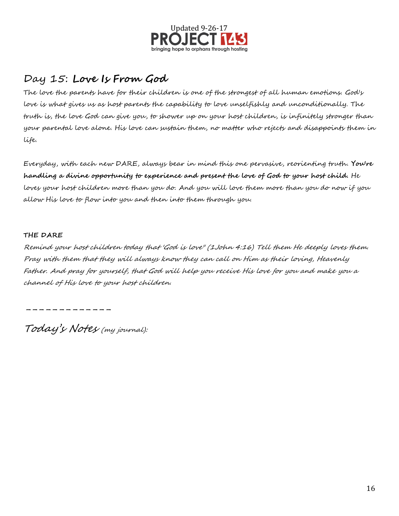

## Day 15: **Love Is From God**

The love the parents have for their children is one of the strongest of all human emotions. God's love is what gives us as host parents the capability to love unselfishly and unconditionally. The truth is, the love God can give you, to shower up on your host children, is infinitely stronger than your parental love alone. His love can sustain them, no matter who rejects and disappoints them in life.

Everyday, with each new DARE, always bear in mind this one pervasive, reorienting truth. **You're handling a divine opportunity to experience and present the love of God to your host child.** He loves your host children more than you do. And you will love them more than you do now if you allow His love to flow into you and then into them through you.

#### **THE DARE**

Remind your host children today that 'God is love" (1John 4:16) Tell them He deeply loves them. Pray with them that they will always know they can call on Him as their loving, Heavenly Father. And pray for yourself, that God will help you receive His love for you and make you a channel of His love to your host children.

-----------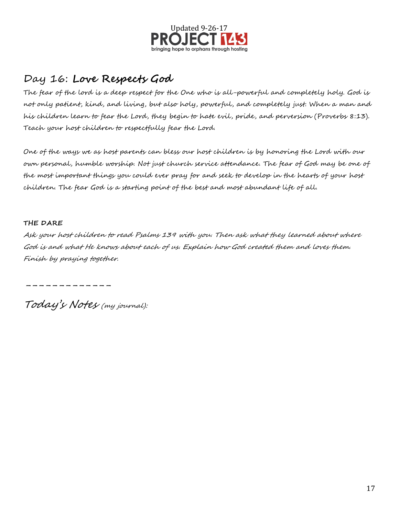

## Day 16: **Love Respects God**

The fear of the lord is a deep respect for the One who is all-powerful and completely holy. God is not only patient, kind, and living, but also holy, powerful, and completely just. When a man and his children learn to fear the Lord, they begin to hate evil, pride, and perversion (Proverbs 8:13). Teach your host children to respectfully fear the Lord.

One of the ways we as host parents can bless our host children is by honoring the Lord with our own personal, humble worship. Not just church service attendance. The fear of God may be one of the most important things you could ever pray for and seek to develop in the hearts of your host children. The fear God is a starting point of the best and most abundant life of all.

#### **THE DARE**

Ask your host children to read Psalms 139 with you. Then ask what they learned about where God is and what He knows about each of us. Explain how God created them and loves them. Finish by praying together.

-----------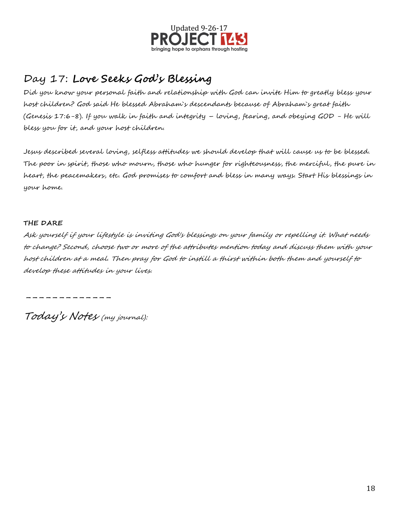

# Day 17: **Love Seeks God's Blessing**

Did you know your personal faith and relationship with God can invite Him to greatly bless your host children? God said He blessed Abraham`s descendants because of Abraham`s great faith (Genesis 17:6-8). If you walk in faith and integrity – loving, fearing, and obeying GOD - He will bless you for it, and your host children.

Jesus described several loving, selfless attitudes we should develop that will cause us to be blessed. The poor in spirit, those who mourn, those who hunger for righteousness, the merciful, the pure in heart, the peacemakers, etc. God promises to comfort and bless in many ways. Start His blessings in your home.

#### **THE DARE**

Ask yourself if your lifestyle is inviting God's blessings on your family or repelling it. What needs to change? Second, choose two or more of the attributes mention today and discuss them with your host children at a meal. Then pray for God to instill a thirst within both them and yourself to develop these attitudes in your lives.

-----------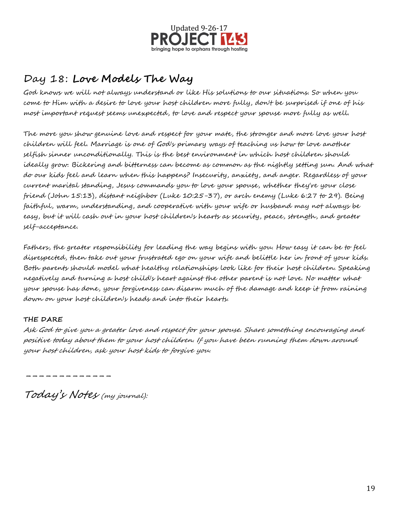

# Day 18: **Love Models The Way**

God knows we will not always understand or like His solutions to our situations. So when you come to Him with a desire to love your host children more fully, don't be surprised if one of his most important request seems unexpected, to love and respect your spouse more fully as well.

The more you show genuine love and respect for your mate, the stronger and more love your host children will feel. Marriage is one of God's primary ways of teaching us how to love another selfish sinner unconditionally. This is the best environment in which host children should ideally grow. Bickering and bitterness can become as common as the nightly setting sun. And what do our kids feel and learn when this happens? Insecurity, anxiety, and anger. Regardless of your current marital standing, Jesus commands you to love your spouse, whether they're your close friend (John 15:13), distant neighbor (Luke 10:25-37), or arch enemy (Luke 6:27 to 29). Being faithful, warm, understanding, and cooperative with your wife or husband may not always be easy, but it will cash out in your host children's hearts as security, peace, strength, and greater self-acceptance.

Fathers, the greater responsibility for leading the way begins with you. How easy it can be to feel disrespected, then take out your frustrated ego on your wife and belittle her in front of your kids. Both parents should model what healthy relationships look like for their host children. Speaking negatively and turning a host child's heart against the other parent is not love. No matter what your spouse has done, your forgiveness can disarm much of the damage and keep it from raining down on your host children's heads and into their hearts.

### **THE DARE**

Ask God to give you a greater love and respect for your spouse. Share something encouraging and positive today about them to your host children. If you have been running them down around your host children, ask your host kids to forgive you.

-------------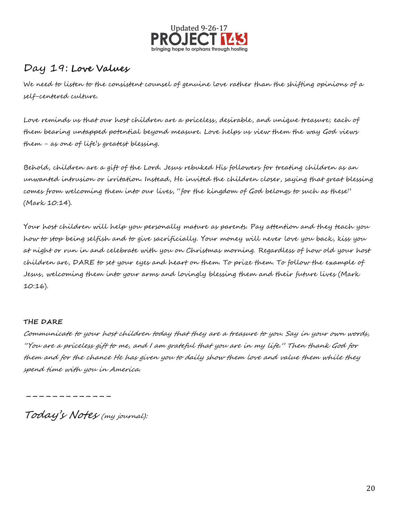

### Day 19: **Love Values**

We need to listen to the consistent counsel of genuine love rather than the shifting opinions of a self-centered culture.

Love reminds us that our host children are a priceless, desirable, and unique treasure; each of them bearing untapped potential beyond measure. Love helps us view them the way God views them - as one of life's greatest blessing.

Behold, children are a gift of the Lord. Jesus rebuked His followers for treating children as an unwanted intrusion or irritation. Instead, He invited the children closer, saying that great blessing comes from welcoming them into our lives, "for the kingdom of God belongs to such as these" (Mark 10:14).

Your host children will help you personally mature as parents. Pay attention and they teach you how to stop being selfish and to give sacrificially. Your money will never love you back, kiss you at night or run in and celebrate with you on Christmas morning. Regardless of how old your host children are, DARE to set your eyes and heart on them. To prize them. To follow the example of Jesus, welcoming them into your arms and lovingly blessing them and their future lives (Mark 10:16).

#### **THE DARE**

Communicate to your host children today that they are a treasure to you. Say in your own words, "You are a priceless gift to me, and I am grateful that you are in my life." Then thank God for them and for the chance He has given you to daily show them love and value them while they spend time with you in America.

-----------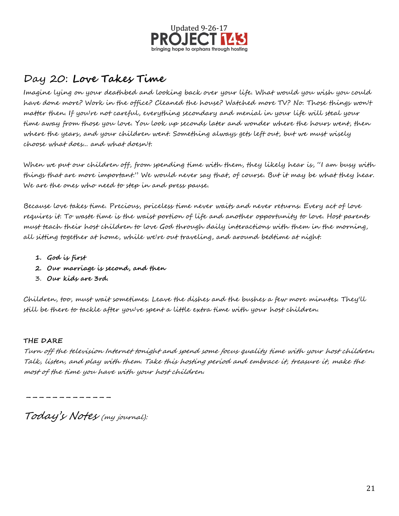

### Day 20: **Love Takes Time**

Imagine lying on your deathbed and looking back over your life. What would you wish you could have done more? Work in the office? Cleaned the house? Watched more TV? No. Those things won't matter then. If you're not careful, everything secondary and menial in your life will steal your time away from those you love. You look up seconds later and wonder where the hours went, then where the years, and your children went. Something always gets left out, but we must wisely choose what does... and what doesn't.

When we put our children off, from spending time with them, they likely hear is, "I am busy with things that are more important." We would never say that, of course. But it may be what they hear. We are the ones who need to step in and press pause.

Because love takes time. Precious, priceless time never waits and never returns. Every act of love requires it. To waste time is the waist portion of life and another opportunity to love. Host parents must teach their host children to love God through daily interactions with them in the morning, all sitting together at home, while we're out traveling, and around bedtime at night.

- **1. God is first**
- **2. Our marriage is second, and then**
- 3. **Our kids are 3rd.**

Children, too, must wait sometimes. Leave the dishes and the bushes a few more minutes. They'll still be there to tackle after you've spent a little extra time with your host children.

### **THE DARE**

Turn off the television Internet tonight and spend some focus quality time with your host children. Talk, listen, and play with them. Take this hosting period and embrace it, treasure it, make the most of the time you have with your host children.

-------------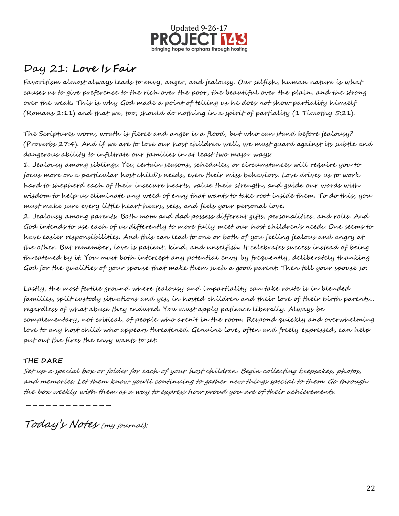

## Day 21: **Love Is Fair**

Favoritism almost always leads to envy, anger, and jealousy. Our selfish, human nature is what causes us to give preference to the rich over the poor, the beautiful over the plain, and the strong over the weak. This is why God made a point of telling us he does not show partiality himself (Romans 2:11) and that we, too, should do nothing in a spirit of partiality (1 Timothy 5:21).

The Scriptures worn, wrath is fierce and anger is a flood, but who can stand before jealousy? (Proverbs 27:4). And if we are to love our host children well, we must guard against its subtle and dangerous ability to infiltrate our families in at least two major ways:

1. Jealousy among siblings. Yes, certain seasons, schedules, or circumstances will require you to focus more on a particular host child`s needs, even their miss behaviors. Love drives us to work hard to shepherd each of their insecure hearts, value their strength, and guide our words with wisdom to help us eliminate any weed of envy that wants to take root inside them. To do this, you must make sure every little heart hears, sees, and feels your personal love.

2. Jealousy among parents. Both mom and dad possess different gifts, personalities, and rolls. And God intends to use each of us differently to more fully meet our host children's needs. One seems to have easier responsibilities. And this can lead to one or both of you feeling jealous and angry at the other. But remember, love is patient, kind, and unselfish. It celebrates success instead of being threatened by it. You must both intercept any potential envy by frequently, deliberately thanking God for the qualities of your spouse that make them such a good parent. Then tell your spouse so.

Lastly, the most fertile ground where jealousy and impartiality can take route is in blended families, split custody situations and yes, in hosted children and their love of their birth parents… regardless of what abuse they endured. You must apply patience liberally. Always be complementary, not critical, of people who aren`t in the room. Respond quickly and overwhelming love to any host child who appears threatened. Genuine love, often and freely expressed, can help put out the fires the envy wants to set.

### **THE DARE**

Set up a special box or folder for each of your host children. Begin collecting keepsakes, photos, and memories. Let them know you'll continuing to gather new things special to them. Go through the box weekly with them as a way to express how proud you are of their achievements.

Today's Notes (my journal):

-----------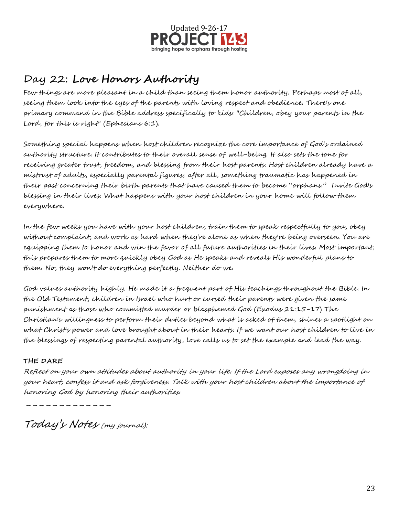

# Day 22: **Love Honors Authority**

Few things are more pleasant in a child than seeing them honor authority. Perhaps most of all, seeing them look into the eyes of the parents with loving respect and obedience. There's one primary command in the Bible address specifically to kids: "Children, obey your parents in the Lord, for this is right" (Ephesians 6:1).

Something special happens when host children recognize the core importance of God's ordained authority structure. It contributes to their overall sense of well-being. It also sets the tone for receiving greater trust, freedom, and blessing from their host parents. Host children already have a mistrust of adults, especially parental figures; after all, something traumatic has happened in their past concerning their birth parents that have caused them to become "orphans." Invite God's blessing in their lives. What happens with your host children in your home will follow them everywhere.

In the few weeks you have with your host children, train them to speak respectfully to you, obey without complaint, and work as hard when they're alone as when they're being overseen. You are equipping them to honor and win the favor of all future authorities in their lives. Most important, this prepares them to more quickly obey God as He speaks and reveals His wonderful plans to them. No, they won't do everything perfectly. Neither do we.

God values authority highly. He made it a frequent part of His teachings throughout the Bible. In the Old Testament, children in Israel who hurt or cursed their parents were given the same punishment as those who committed murder or blasphemed God (Exodus 21:15-17) The Christian's willingness to perform their duties beyond what is asked of them, shines a spotlight on what Christ's power and love brought about in their hearts. If we want our host children to live in the blessings of respecting parental authority, love calls us to set the example and lead the way.

### **THE DARE**

Reflect on your own attitudes about authority in your life. If the Lord exposes any wrongdoing in your heart, confess it and ask forgiveness. Talk with your host children about the importance of honoring God by honoring their authorities.

-----------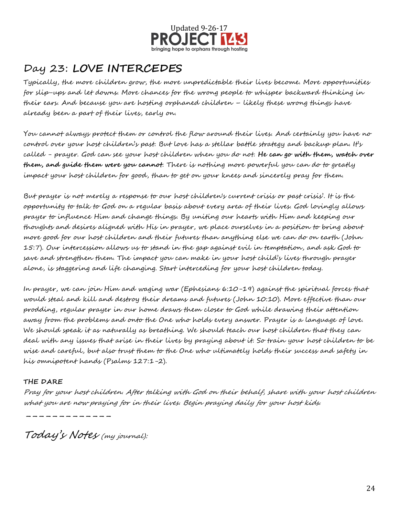

# Day 23: **LOVE INTERCEDES**

Typically, the more children grow, the more unpredictable their lives become. More opportunities for slip-ups and let downs. More chances for the wrong people to whisper backward thinking in their ears. And because you are hosting orphaned children – likely these wrong things have already been a part of their lives, early on.

You cannot always protect them or control the flow around their lives. And certainly you have no control over your host children's past. But love has a stellar battle strategy and backup plan. It's called - prayer. God can see your host children when you do not. **He can go with them, watch over them, and guide them were you cannot**. There is nothing more powerful you can do to greatly impact your host children for good, than to get on your knees and sincerely pray for them.

But prayer is not merely a response to our host children's current crisis or past crisis'. It is the opportunity to talk to God on a regular basis about every area of their lives. God lovingly allows prayer to influence Him and change things. By uniting our hearts with Him and keeping our thoughts and desires aligned with His in prayer, we place ourselves in a position to bring about more good for our host children and their futures than anything else we can do on earth (John 15:7). Our intercession allows us to stand in the gap against evil in temptation, and ask God to save and strengthen them. The impact you can make in your host child's lives through prayer alone, is staggering and life changing. Start interceding for your host children today.

In prayer, we can join Him and waging war (Ephesians 6:10-19) against the spiritual forces that would steal and kill and destroy their dreams and futures (John 10:10). More effective than our prodding, regular prayer in our home draws them closer to God while drawing their attention away from the problems and onto the One who holds every answer. Prayer is a language of love. We should speak it as naturally as breathing. We should teach our host children that they can deal with any issues that arise in their lives by praying about it. So train your host children to be wise and careful, but also trust them to the One who ultimately holds their success and safety in his omnipotent hands (Psalms 127:1-2).

### **THE DARE**

Pray for your host children. After talking with God on their behalf, share with your host children what you are now praying for in their lives. Begin praying daily for your host kids.

Today's Notes (my journal):

-----------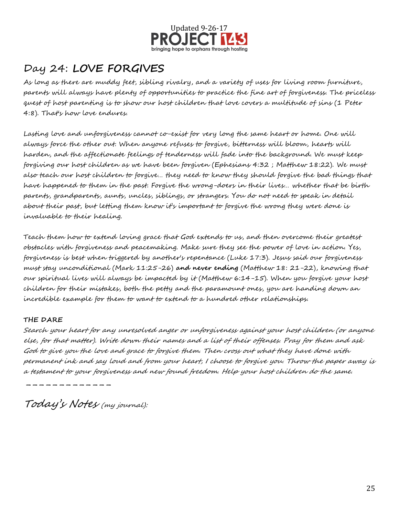

# Day 24: **LOVE FORGIVES**

As long as there are muddy feet, sibling rivalry, and a variety of uses for living room furniture, parents will always have plenty of opportunities to practice the fine art of forgiveness. The priceless quest of host parenting is to show our host children that love covers a multitude of sins (1 Peter 4:8). That's how love endures.

Lasting love and unforgiveness cannot co-exist for very long the same heart or home. One will always force the other out. When anyone refuses to forgive, bitterness will bloom, hearts will harden, and the affectionate feelings of tenderness will fade into the background. We must keep forgiving our host children as we have been forgiven (Ephesians 4:32 ; Matthew 18:22). We must also teach our host children to forgive… they need to know they should forgive the bad things that have happened to them in the past. Forgive the wrong-doers in their lives… whether that be birth parents, grandparents, aunts, uncles, siblings, or strangers. You do not need to speak in detail about their past, but letting them know it's important to forgive the wrong they were done is invaluable to their healing.

Teach them how to extend loving grace that God extends to us, and then overcome their greatest obstacles with forgiveness and peacemaking. Make sure they see the power of love in action. Yes, forgiveness is best when triggered by another's repentance (Luke 17:3). Jesus said our forgiveness must stay unconditional (Mark 11:25-26) **and never ending** (Matthew 18: 21-22), knowing that our spiritual lives will always be impacted by it (Matthew 6:14-15). When you forgive your host children for their mistakes, both the petty and the paramount ones, you are handing down an incredible example for them to want to extend to a hundred other relationships.

#### **THE DARE**

Search your heart for any unresolved anger or unforgiveness against your host children (or anyone else, for that matter). Write down their names and a list of their offenses. Pray for them and ask God to give you the love and grace to forgive them. Then cross out what they have done with permanent ink and say loud and from your heart, I choose to forgive you. Throw the paper away is a testament to your forgiveness and new found freedom. Help your host children do the same.

Today's Notes (my journal):

-----------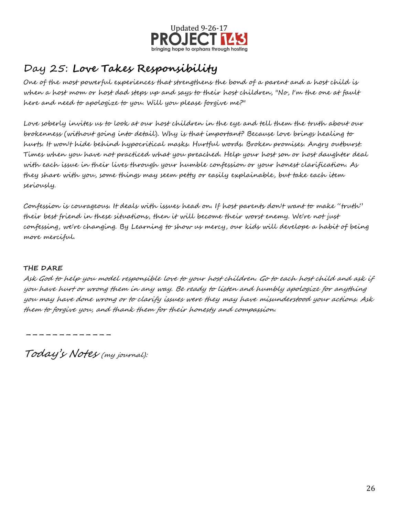

# Day 25: **Love Takes Responsibility**

One of the most powerful experiences that strengthens the bond of a parent and a host child is when a host mom or host dad steps up and says to their host children, "No, I'm the one at fault here and need to apologize to you. Will you please forgive me?"

Love soberly invites us to look at our host children in the eye and tell them the truth about our brokenness (without going into detail). Why is that important? Because love brings healing to hurts. It won't hide behind hypocritical masks. Hurtful words. Broken promises. Angry outburst. Times when you have not practiced what you preached. Help your host son or host daughter deal with each issue in their lives through your humble confession or your honest clarification. As they share with you, some things may seem petty or easily explainable, but take each item seriously.

Confession is courageous. It deals with issues head on. If host parents don't want to make "truth" their best friend in these situations, then it will become their worst enemy. We're not just confessing, we're changing. By Learning to show us mercy, our kids will develope a habit of being more merciful.

#### **THE DARE**

Ask God to help you model responsible love to your host children. Go to each host child and ask if you have hurt or wrong them in any way. Be ready to listen and humbly apologize for anything you may have done wrong or to clarify issues were they may have misunderstood your actions. Ask them to forgive you, and thank them for their honesty and compassion.

-------------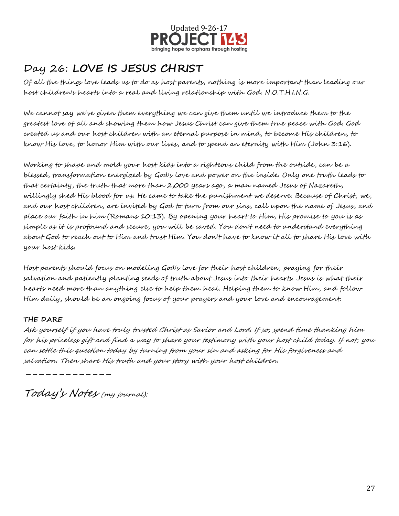

# Day 26: **LOVE IS JESUS CHRIST**

Of all the things love leads us to do as host parents, nothing is more important than leading our host children's hearts into a real and living relationship with God. N.O.T.H.I.N.G.

We cannot say we've given them everything we can give them until we introduce them to the greatest love of all and showing them how Jesus Christ can give them true peace with God. God created us and our host children with an eternal purpose in mind, to become His children, to know His love, to honor Him with our lives, and to spend an eternity with Him (John 3:16).

Working to shape and mold your host kids into a righteous child from the outside, can be a blessed, transformation energized by God's love and power on the inside. Only one truth leads to that certainty, the truth that more than 2,000 years ago, a man named Jesus of Nazareth, willingly shed His blood for us. He came to take the punishment we deserve. Because of Christ, we, and our host children, are invited by God to turn from our sins, call upon the name of Jesus, and place our faith in him (Romans 10:13). By opening your heart to Him, His promise to you is as simple as it is profound and secure, you will be saved. You don't need to understand everything about God to reach out to Him and trust Him. You don't have to know it all to share His love with your host kids.

Host parents should focus on modeling God's love for their host children, praying for their salvation and patiently planting seeds of truth about Jesus into their hearts. Jesus is what their hearts need more than anything else to help them heal. Helping them to know Him, and follow Him daily, should be an ongoing focus of your prayers and your love and encouragement.

### **THE DARE**

Ask yourself if you have truly trusted Christ as Savior and Lord. If so, spend time thanking him for his priceless gift and find a way to share your testimony with your host child today. If not, you can settle this question today by turning from your sin and asking for His forgiveness and salvation. Then share His truth and your story with your host children.

-------------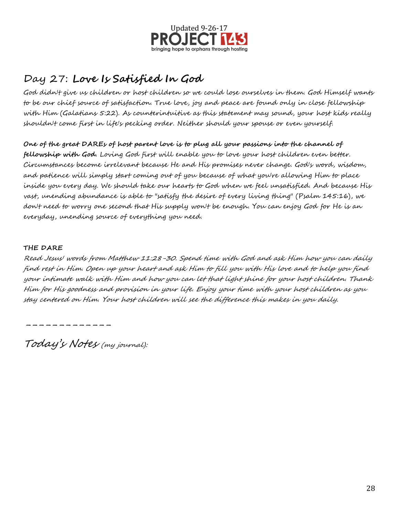

# Day 27: **Love Is Satisfied In God**

God didn't give us children or host children so we could lose ourselves in them. God Himself wants to be our chief source of satisfaction. True love, joy and peace are found only in close fellowship with Him (Galatians 5:22). As counterintuitive as this statement may sound, your host kids really shouldn't come first in life's pecking order. Neither should your spouse or even yourself.

**One of the great DAREs of host parent love is to plug all your passions into the channel of fellowship with God.** Loving God first will enable you to love your host children even better. Circumstances become irrelevant because He and His promises never change. God's word, wisdom, and patience will simply start coming out of you because of what you're allowing Him to place inside you every day. We should take our hearts to God when we feel unsatisfied. And because His vast, unending abundance is able to "satisfy the desire of every living thing" (Psalm 145:16), we don't need to worry one second that His supply won't be enough. You can enjoy God for He is an everyday, unending source of everything you need.

#### **THE DARE**

Read Jesus' words from Matthew 11:28-30. Spend time with God and ask Him how you can daily find rest in Him. Open up your heart and ask Him to fill you with His love and to help you find your intimate walk with Him and how you can let that light shine for your host children. Thank Him for His goodness and provision in your life. Enjoy your time with your host children as you stay centered on Him. Your host children will see the difference this makes in you daily.

-----------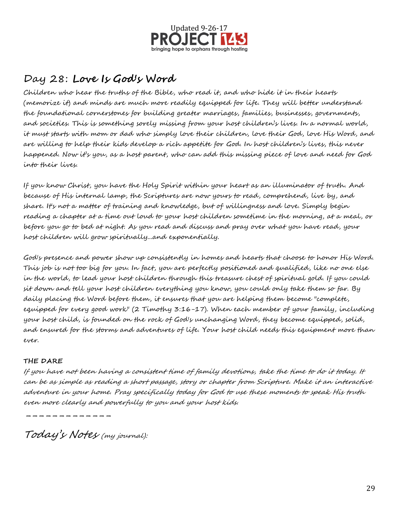

## Day 28: **Love Is God's Word**

Children who hear the truths of the Bible, who read it, and who hide it in their hearts (memorize it) and minds are much more readily equipped for life. They will better understand the foundational cornerstones for building greater marriages, families, businesses, governments, and societies. This is something sorely missing from your host children's lives. In a normal world, it must starts with mom or dad who simply love their children, love their God, love His Word, and are willing to help their kids develop a rich appetite for God. In host children's lives, this never happened. Now it's you, as a host parent, who can add this missing piece of love and need for God into their lives.

If you know Christ, you have the Holy Spirit within your heart as an illuminator of truth. And because of His internal lamp, the Scriptures are now yours to read, comprehend, live by, and share. It's not a matter of training and knowledge, but of willingness and love. Simply begin reading a chapter at a time out loud to your host children sometime in the morning, at a meal, or before you go to bed at night. As you read and discuss and pray over what you have read, your host children will grow spiritually...and exponentially.

God's presence and power show up consistently in homes and hearts that choose to honor His Word. This job is not too big for you. In fact, you are perfectly positioned and qualified, like no one else in the world, to lead your host children through this treasure chest of spiritual gold. If you could sit down and tell your host children everything you know, you could only take them so far. By daily placing the Word before them, it ensures that you are helping them become "complete, equipped for every good work" (2 Timothy 3:16-17). When each member of your family, including your host child, is founded on the rock of God's unchanging Word, they become equipped, solid, and ensured for the storms and adventures of life. Your host child needs this equipment more than ever.

### **THE DARE**

If you have not been having a consistent time of family devotions, take the time to do it today. It can be as simple as reading a short passage, story or chapter from Scripture. Make it an interactive adventure in your home. Pray specifically today for God to use these moments to speak His truth even more clearly and powerfully to you and your host kids.

-----------